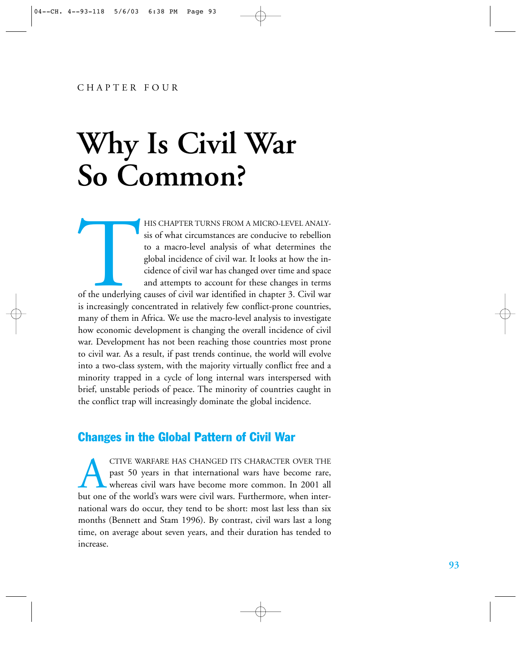### CHAPTER FOUR

# **Why Is Civil War So Common?**

HIS CHAPTER TURNS FROM A MICRO-LEVEL ANALY-<br>sis of what circumstances are conducive to rebellion<br>to a macro-level analysis of what determines the<br>global incidence of civil war. It looks at how the in-<br>cidence of civil war sis of what circumstances are conducive to rebellion to a macro-level analysis of what determines the global incidence of civil war. It looks at how the incidence of civil war has changed over time and space and attempts to account for these changes in terms of the underlying causes of civil war identified in chapter 3. Civil war

is increasingly concentrated in relatively few conflict-prone countries, many of them in Africa. We use the macro-level analysis to investigate how economic development is changing the overall incidence of civil war. Development has not been reaching those countries most prone to civil war. As a result, if past trends continue, the world will evolve into a two-class system, with the majority virtually conflict free and a minority trapped in a cycle of long internal wars interspersed with brief, unstable periods of peace. The minority of countries caught in the conflict trap will increasingly dominate the global incidence.

## Changes in the Global Pattern of Civil War

CTIVE WARFARE HAS CHANGED ITS CHARACTER OVER THE past 50 years in that international wars have become rare, whereas civil wars have become more common. In 2001 all but one of the world's wars were civil wars. Furthermore, past 50 years in that international wars have become rare, whereas civil wars have become more common. In 2001 all but one of the world's wars were civil wars. Furthermore, when international wars do occur, they tend to be short: most last less than six months (Bennett and Stam 1996). By contrast, civil wars last a long time, on average about seven years, and their duration has tended to increase.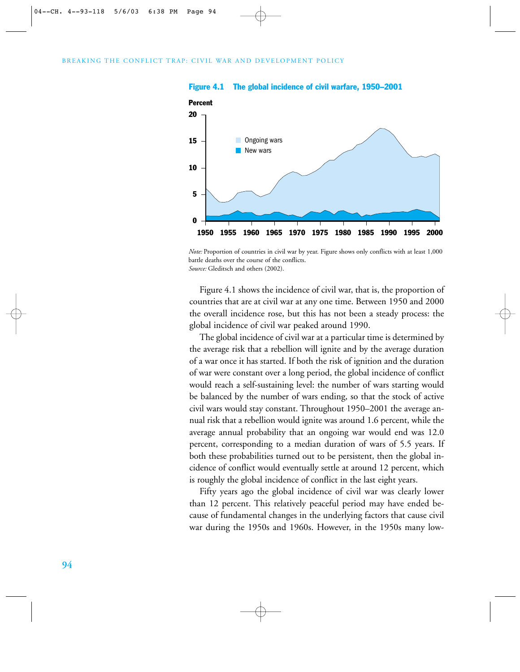

Figure 4.1 The global incidence of civil warfare, 1950–2001

Figure 4.1 shows the incidence of civil war, that is, the proportion of countries that are at civil war at any one time. Between 1950 and 2000 the overall incidence rose, but this has not been a steady process: the global incidence of civil war peaked around 1990.

The global incidence of civil war at a particular time is determined by the average risk that a rebellion will ignite and by the average duration of a war once it has started. If both the risk of ignition and the duration of war were constant over a long period, the global incidence of conflict would reach a self-sustaining level: the number of wars starting would be balanced by the number of wars ending, so that the stock of active civil wars would stay constant. Throughout 1950–2001 the average annual risk that a rebellion would ignite was around 1.6 percent, while the average annual probability that an ongoing war would end was 12.0 percent, corresponding to a median duration of wars of 5.5 years. If both these probabilities turned out to be persistent, then the global incidence of conflict would eventually settle at around 12 percent, which is roughly the global incidence of conflict in the last eight years.

Fifty years ago the global incidence of civil war was clearly lower than 12 percent. This relatively peaceful period may have ended because of fundamental changes in the underlying factors that cause civil war during the 1950s and 1960s. However, in the 1950s many low-

*Note:* Proportion of countries in civil war by year. Figure shows only conflicts with at least 1,000 battle deaths over the course of the conflicts. *Source:* Gleditsch and others (2002).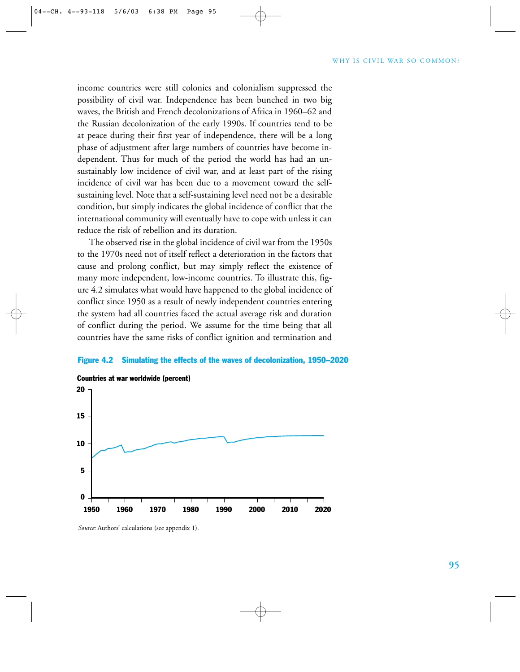income countries were still colonies and colonialism suppressed the possibility of civil war. Independence has been bunched in two big waves, the British and French decolonizations of Africa in 1960–62 and the Russian decolonization of the early 1990s. If countries tend to be at peace during their first year of independence, there will be a long phase of adjustment after large numbers of countries have become independent. Thus for much of the period the world has had an unsustainably low incidence of civil war, and at least part of the rising incidence of civil war has been due to a movement toward the selfsustaining level. Note that a self-sustaining level need not be a desirable condition, but simply indicates the global incidence of conflict that the international community will eventually have to cope with unless it can reduce the risk of rebellion and its duration.

The observed rise in the global incidence of civil war from the 1950s to the 1970s need not of itself reflect a deterioration in the factors that cause and prolong conflict, but may simply reflect the existence of many more independent, low-income countries. To illustrate this, figure 4.2 simulates what would have happened to the global incidence of conflict since 1950 as a result of newly independent countries entering the system had all countries faced the actual average risk and duration of conflict during the period. We assume for the time being that all countries have the same risks of conflict ignition and termination and





*Source:* Authors' calculations (see appendix 1).

**95**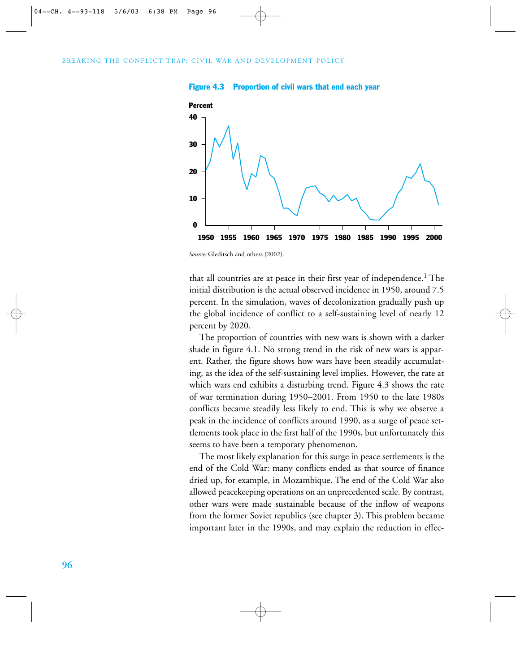



*Source:* Gleditsch and others (2002).

that all countries are at peace in their first year of independence.<sup>1</sup> The initial distribution is the actual observed incidence in 1950, around 7.5 percent. In the simulation, waves of decolonization gradually push up the global incidence of conflict to a self-sustaining level of nearly 12 percent by 2020.

The proportion of countries with new wars is shown with a darker shade in figure 4.1. No strong trend in the risk of new wars is apparent. Rather, the figure shows how wars have been steadily accumulating, as the idea of the self-sustaining level implies. However, the rate at which wars end exhibits a disturbing trend. Figure 4.3 shows the rate of war termination during 1950–2001. From 1950 to the late 1980s conflicts became steadily less likely to end. This is why we observe a peak in the incidence of conflicts around 1990, as a surge of peace settlements took place in the first half of the 1990s, but unfortunately this seems to have been a temporary phenomenon.

The most likely explanation for this surge in peace settlements is the end of the Cold War: many conflicts ended as that source of finance dried up, for example, in Mozambique. The end of the Cold War also allowed peacekeeping operations on an unprecedented scale. By contrast, other wars were made sustainable because of the inflow of weapons from the former Soviet republics (see chapter 3). This problem became important later in the 1990s, and may explain the reduction in effec-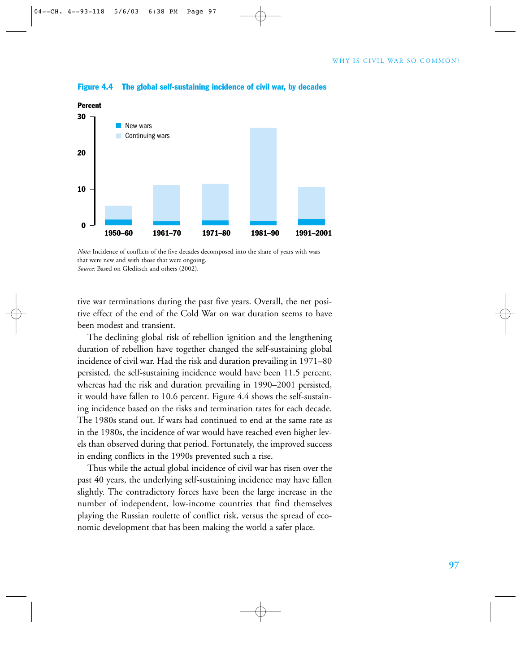

#### Figure 4.4 The global self-sustaining incidence of civil war, by decades

*Note:* Incidence of conflicts of the five decades decomposed into the share of years with wars that were new and with those that were ongoing. *Source:* Based on Gleditsch and others (2002).

tive war terminations during the past five years. Overall, the net positive effect of the end of the Cold War on war duration seems to have been modest and transient.

The declining global risk of rebellion ignition and the lengthening duration of rebellion have together changed the self-sustaining global incidence of civil war. Had the risk and duration prevailing in 1971–80 persisted, the self-sustaining incidence would have been 11.5 percent, whereas had the risk and duration prevailing in 1990–2001 persisted, it would have fallen to 10.6 percent. Figure 4.4 shows the self-sustaining incidence based on the risks and termination rates for each decade. The 1980s stand out. If wars had continued to end at the same rate as in the 1980s, the incidence of war would have reached even higher levels than observed during that period. Fortunately, the improved success in ending conflicts in the 1990s prevented such a rise.

Thus while the actual global incidence of civil war has risen over the past 40 years, the underlying self-sustaining incidence may have fallen slightly. The contradictory forces have been the large increase in the number of independent, low-income countries that find themselves playing the Russian roulette of conflict risk, versus the spread of economic development that has been making the world a safer place.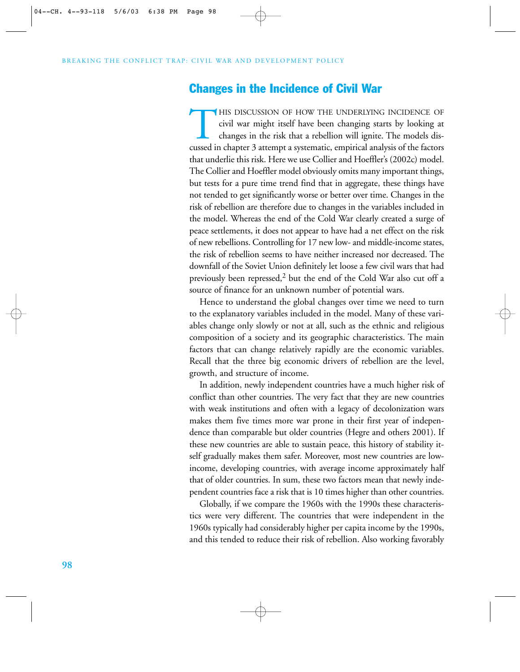# Changes in the Incidence of Civil War

THIS DISCUSSION OF HOW THE UNDERLYING INCIDENCE OF<br>civil war might itself have been changing starts by looking at<br>changes in the risk that a rebellion will ignite. The models dis-<br>cussed in chapter 3 attempt a systematic, civil war might itself have been changing starts by looking at changes in the risk that a rebellion will ignite. The models discussed in chapter 3 attempt a systematic, empirical analysis of the factors that underlie this risk. Here we use Collier and Hoeffler's (2002c) model. The Collier and Hoeffler model obviously omits many important things, but tests for a pure time trend find that in aggregate, these things have not tended to get significantly worse or better over time. Changes in the risk of rebellion are therefore due to changes in the variables included in the model. Whereas the end of the Cold War clearly created a surge of peace settlements, it does not appear to have had a net effect on the risk of new rebellions. Controlling for 17 new low- and middle-income states, the risk of rebellion seems to have neither increased nor decreased. The downfall of the Soviet Union definitely let loose a few civil wars that had previously been repressed,<sup>2</sup> but the end of the Cold War also cut off a source of finance for an unknown number of potential wars.

Hence to understand the global changes over time we need to turn to the explanatory variables included in the model. Many of these variables change only slowly or not at all, such as the ethnic and religious composition of a society and its geographic characteristics. The main factors that can change relatively rapidly are the economic variables. Recall that the three big economic drivers of rebellion are the level, growth, and structure of income.

In addition, newly independent countries have a much higher risk of conflict than other countries. The very fact that they are new countries with weak institutions and often with a legacy of decolonization wars makes them five times more war prone in their first year of independence than comparable but older countries (Hegre and others 2001). If these new countries are able to sustain peace, this history of stability itself gradually makes them safer. Moreover, most new countries are lowincome, developing countries, with average income approximately half that of older countries. In sum, these two factors mean that newly independent countries face a risk that is 10 times higher than other countries.

Globally, if we compare the 1960s with the 1990s these characteristics were very different. The countries that were independent in the 1960s typically had considerably higher per capita income by the 1990s, and this tended to reduce their risk of rebellion. Also working favorably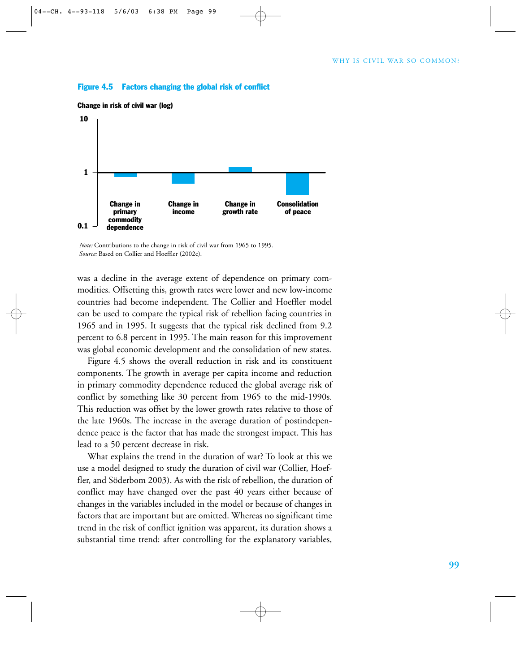

#### Figure 4.5 Factors changing the global risk of conflict



was a decline in the average extent of dependence on primary commodities. Offsetting this, growth rates were lower and new low-income countries had become independent. The Collier and Hoeffler model can be used to compare the typical risk of rebellion facing countries in 1965 and in 1995. It suggests that the typical risk declined from 9.2 percent to 6.8 percent in 1995. The main reason for this improvement was global economic development and the consolidation of new states.

Figure 4.5 shows the overall reduction in risk and its constituent components. The growth in average per capita income and reduction in primary commodity dependence reduced the global average risk of conflict by something like 30 percent from 1965 to the mid-1990s. This reduction was offset by the lower growth rates relative to those of the late 1960s. The increase in the average duration of postindependence peace is the factor that has made the strongest impact. This has lead to a 50 percent decrease in risk.

What explains the trend in the duration of war? To look at this we use a model designed to study the duration of civil war (Collier, Hoeffler, and Söderbom 2003). As with the risk of rebellion, the duration of conflict may have changed over the past 40 years either because of changes in the variables included in the model or because of changes in factors that are important but are omitted. Whereas no significant time trend in the risk of conflict ignition was apparent, its duration shows a substantial time trend: after controlling for the explanatory variables,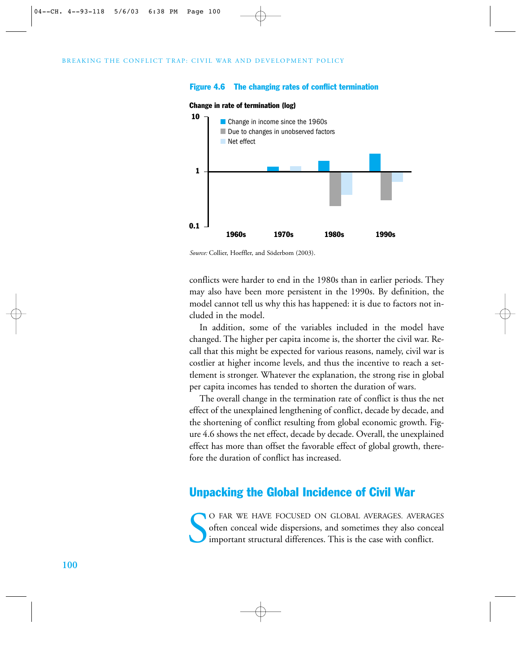

Change in rate of termination (log)



*Source:* Collier, Hoeffler, and Söderbom (2003).

conflicts were harder to end in the 1980s than in earlier periods. They may also have been more persistent in the 1990s. By definition, the model cannot tell us why this has happened: it is due to factors not included in the model.

In addition, some of the variables included in the model have changed. The higher per capita income is, the shorter the civil war. Recall that this might be expected for various reasons, namely, civil war is costlier at higher income levels, and thus the incentive to reach a settlement is stronger. Whatever the explanation, the strong rise in global per capita incomes has tended to shorten the duration of wars.

The overall change in the termination rate of conflict is thus the net effect of the unexplained lengthening of conflict, decade by decade, and the shortening of conflict resulting from global economic growth. Figure 4.6 shows the net effect, decade by decade. Overall, the unexplained effect has more than offset the favorable effect of global growth, therefore the duration of conflict has increased.

# Unpacking the Global Incidence of Civil War

S O FAR WE HAVE FOCUSED ON GLOBAL AVERAGES. AVERAGES often conceal wide dispersions, and sometimes they also conceal important structural differences. This is the case with conflict.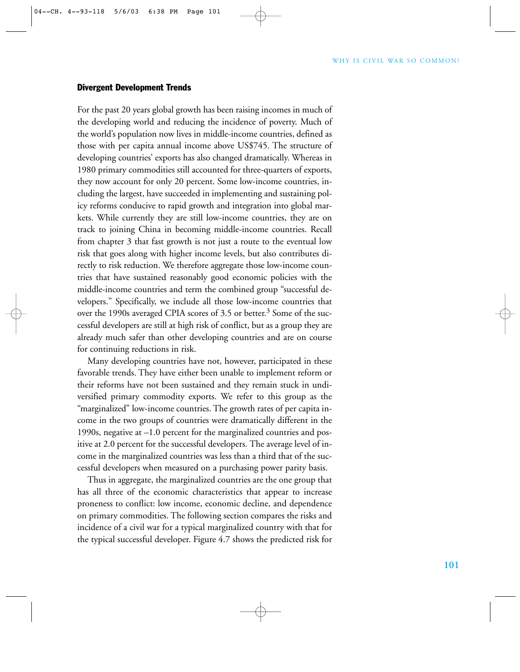#### Divergent Development Trends

For the past 20 years global growth has been raising incomes in much of the developing world and reducing the incidence of poverty. Much of the world's population now lives in middle-income countries, defined as those with per capita annual income above US\$745. The structure of developing countries' exports has also changed dramatically. Whereas in 1980 primary commodities still accounted for three-quarters of exports, they now account for only 20 percent. Some low-income countries, including the largest, have succeeded in implementing and sustaining policy reforms conducive to rapid growth and integration into global markets. While currently they are still low-income countries, they are on track to joining China in becoming middle-income countries. Recall from chapter 3 that fast growth is not just a route to the eventual low risk that goes along with higher income levels, but also contributes directly to risk reduction. We therefore aggregate those low-income countries that have sustained reasonably good economic policies with the middle-income countries and term the combined group "successful developers." Specifically, we include all those low-income countries that over the 1990s averaged CPIA scores of 3.5 or better.<sup>3</sup> Some of the successful developers are still at high risk of conflict, but as a group they are already much safer than other developing countries and are on course for continuing reductions in risk.

Many developing countries have not, however, participated in these favorable trends. They have either been unable to implement reform or their reforms have not been sustained and they remain stuck in undiversified primary commodity exports. We refer to this group as the "marginalized" low-income countries. The growth rates of per capita income in the two groups of countries were dramatically different in the 1990s, negative at –1.0 percent for the marginalized countries and positive at 2.0 percent for the successful developers. The average level of income in the marginalized countries was less than a third that of the successful developers when measured on a purchasing power parity basis.

Thus in aggregate, the marginalized countries are the one group that has all three of the economic characteristics that appear to increase proneness to conflict: low income, economic decline, and dependence on primary commodities. The following section compares the risks and incidence of a civil war for a typical marginalized country with that for the typical successful developer. Figure 4.7 shows the predicted risk for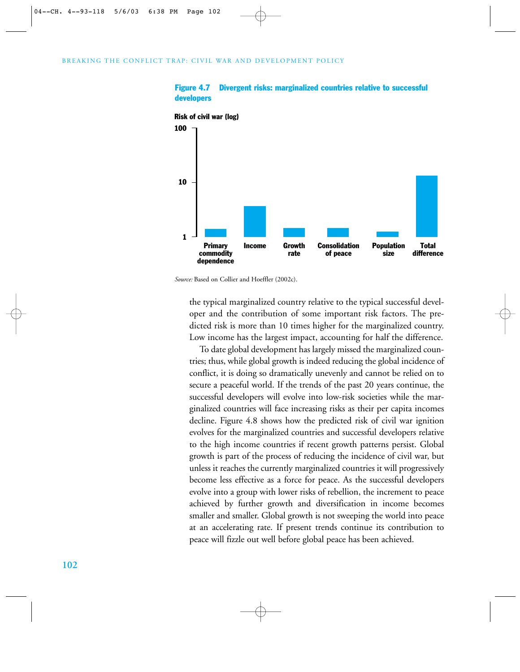

Figure 4.7 Divergent risks: marginalized countries relative to successful developers

*Source:* Based on Collier and Hoeffler (2002c).

the typical marginalized country relative to the typical successful developer and the contribution of some important risk factors. The predicted risk is more than 10 times higher for the marginalized country. Low income has the largest impact, accounting for half the difference.

To date global development has largely missed the marginalized countries; thus, while global growth is indeed reducing the global incidence of conflict, it is doing so dramatically unevenly and cannot be relied on to secure a peaceful world. If the trends of the past 20 years continue, the successful developers will evolve into low-risk societies while the marginalized countries will face increasing risks as their per capita incomes decline. Figure 4.8 shows how the predicted risk of civil war ignition evolves for the marginalized countries and successful developers relative to the high income countries if recent growth patterns persist. Global growth is part of the process of reducing the incidence of civil war, but unless it reaches the currently marginalized countries it will progressively become less effective as a force for peace. As the successful developers evolve into a group with lower risks of rebellion, the increment to peace achieved by further growth and diversification in income becomes smaller and smaller. Global growth is not sweeping the world into peace at an accelerating rate. If present trends continue its contribution to peace will fizzle out well before global peace has been achieved.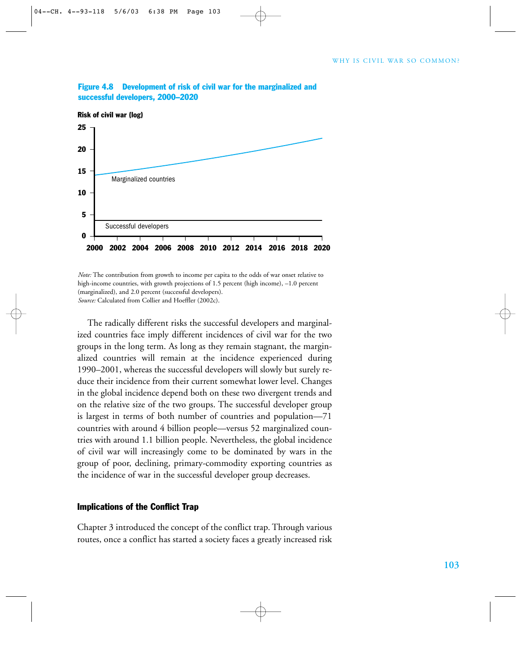

Figure 4.8 Development of risk of civil war for the marginalized and successful developers, 2000–2020

The radically different risks the successful developers and marginalized countries face imply different incidences of civil war for the two groups in the long term. As long as they remain stagnant, the marginalized countries will remain at the incidence experienced during 1990–2001, whereas the successful developers will slowly but surely reduce their incidence from their current somewhat lower level. Changes in the global incidence depend both on these two divergent trends and on the relative size of the two groups. The successful developer group is largest in terms of both number of countries and population—71 countries with around 4 billion people—versus 52 marginalized countries with around 1.1 billion people. Nevertheless, the global incidence of civil war will increasingly come to be dominated by wars in the group of poor, declining, primary-commodity exporting countries as the incidence of war in the successful developer group decreases.

#### Implications of the Conflict Trap

Chapter 3 introduced the concept of the conflict trap. Through various routes, once a conflict has started a society faces a greatly increased risk

*Note:* The contribution from growth to income per capita to the odds of war onset relative to high-income countries, with growth projections of 1.5 percent (high income), –1.0 percent (marginalized), and 2.0 percent (successful developers). *Source:* Calculated from Collier and Hoeffler (2002c).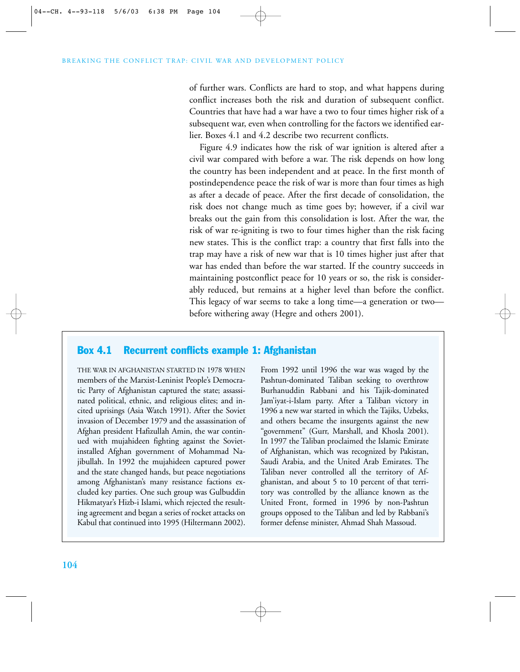of further wars. Conflicts are hard to stop, and what happens during conflict increases both the risk and duration of subsequent conflict. Countries that have had a war have a two to four times higher risk of a subsequent war, even when controlling for the factors we identified earlier. Boxes 4.1 and 4.2 describe two recurrent conflicts.

Figure 4.9 indicates how the risk of war ignition is altered after a civil war compared with before a war. The risk depends on how long the country has been independent and at peace. In the first month of postindependence peace the risk of war is more than four times as high as after a decade of peace. After the first decade of consolidation, the risk does not change much as time goes by; however, if a civil war breaks out the gain from this consolidation is lost. After the war, the risk of war re-igniting is two to four times higher than the risk facing new states. This is the conflict trap: a country that first falls into the trap may have a risk of new war that is 10 times higher just after that war has ended than before the war started. If the country succeeds in maintaining postconflict peace for 10 years or so, the risk is considerably reduced, but remains at a higher level than before the conflict. This legacy of war seems to take a long time—a generation or two before withering away (Hegre and others 2001).

## Box 4.1 Recurrent conflicts example 1: Afghanistan

THE WAR IN AFGHANISTAN STARTED IN 1978 WHEN members of the Marxist-Leninist People's Democratic Party of Afghanistan captured the state; assassinated political, ethnic, and religious elites; and incited uprisings (Asia Watch 1991). After the Soviet invasion of December 1979 and the assassination of Afghan president Hafizullah Amin, the war continued with mujahideen fighting against the Sovietinstalled Afghan government of Mohammad Najibullah. In 1992 the mujahideen captured power and the state changed hands, but peace negotiations among Afghanistan's many resistance factions excluded key parties. One such group was Gulbuddin Hikmatyar's Hizb-i Islami, which rejected the resulting agreement and began a series of rocket attacks on Kabul that continued into 1995 (Hiltermann 2002).

From 1992 until 1996 the war was waged by the Pashtun-dominated Taliban seeking to overthrow Burhanuddin Rabbani and his Tajik-dominated Jam'iyat-i-Islam party. After a Taliban victory in 1996 a new war started in which the Tajiks, Uzbeks, and others became the insurgents against the new "government" (Gurr, Marshall, and Khosla 2001). In 1997 the Taliban proclaimed the Islamic Emirate of Afghanistan, which was recognized by Pakistan, Saudi Arabia, and the United Arab Emirates. The Taliban never controlled all the territory of Afghanistan, and about 5 to 10 percent of that territory was controlled by the alliance known as the United Front, formed in 1996 by non-Pashtun groups opposed to the Taliban and led by Rabbani's former defense minister, Ahmad Shah Massoud.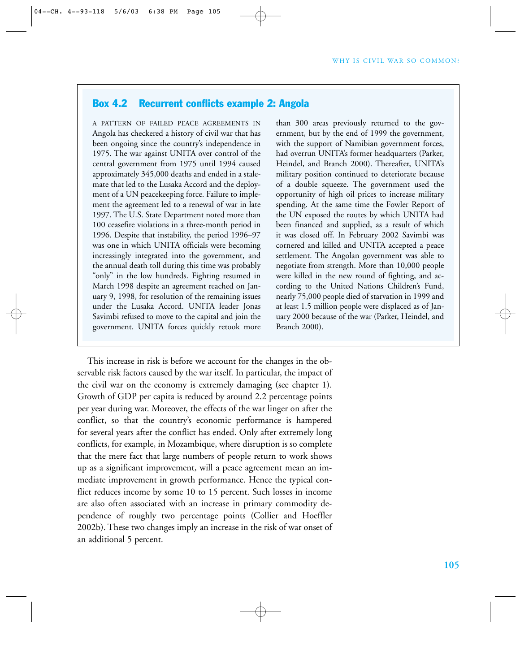#### 04--CH. 4--93-118 5/6/03 6:38 PM Page 105

## Box 4.2 Recurrent conflicts example 2: Angola

A PATTERN OF FAILED PEACE AGREEMENTS IN Angola has checkered a history of civil war that has been ongoing since the country's independence in 1975. The war against UNITA over control of the central government from 1975 until 1994 caused approximately 345,000 deaths and ended in a stalemate that led to the Lusaka Accord and the deployment of a UN peacekeeping force. Failure to implement the agreement led to a renewal of war in late 1997. The U.S. State Department noted more than 100 ceasefire violations in a three-month period in 1996. Despite that instability, the period 1996–97 was one in which UNITA officials were becoming increasingly integrated into the government, and the annual death toll during this time was probably "only" in the low hundreds. Fighting resumed in March 1998 despite an agreement reached on January 9, 1998, for resolution of the remaining issues under the Lusaka Accord. UNITA leader Jonas Savimbi refused to move to the capital and join the government. UNITA forces quickly retook more than 300 areas previously returned to the government, but by the end of 1999 the government, with the support of Namibian government forces, had overrun UNITA's former headquarters (Parker, Heindel, and Branch 2000). Thereafter, UNITA's military position continued to deteriorate because of a double squeeze. The government used the opportunity of high oil prices to increase military spending. At the same time the Fowler Report of the UN exposed the routes by which UNITA had been financed and supplied, as a result of which it was closed off. In February 2002 Savimbi was cornered and killed and UNITA accepted a peace settlement. The Angolan government was able to negotiate from strength. More than 10,000 people were killed in the new round of fighting, and according to the United Nations Children's Fund, nearly 75,000 people died of starvation in 1999 and at least 1.5 million people were displaced as of January 2000 because of the war (Parker, Heindel, and Branch 2000).

This increase in risk is before we account for the changes in the observable risk factors caused by the war itself. In particular, the impact of the civil war on the economy is extremely damaging (see chapter 1). Growth of GDP per capita is reduced by around 2.2 percentage points per year during war. Moreover, the effects of the war linger on after the conflict, so that the country's economic performance is hampered for several years after the conflict has ended. Only after extremely long conflicts, for example, in Mozambique, where disruption is so complete that the mere fact that large numbers of people return to work shows up as a significant improvement, will a peace agreement mean an immediate improvement in growth performance. Hence the typical conflict reduces income by some 10 to 15 percent. Such losses in income are also often associated with an increase in primary commodity dependence of roughly two percentage points (Collier and Hoeffler 2002b). These two changes imply an increase in the risk of war onset of an additional 5 percent.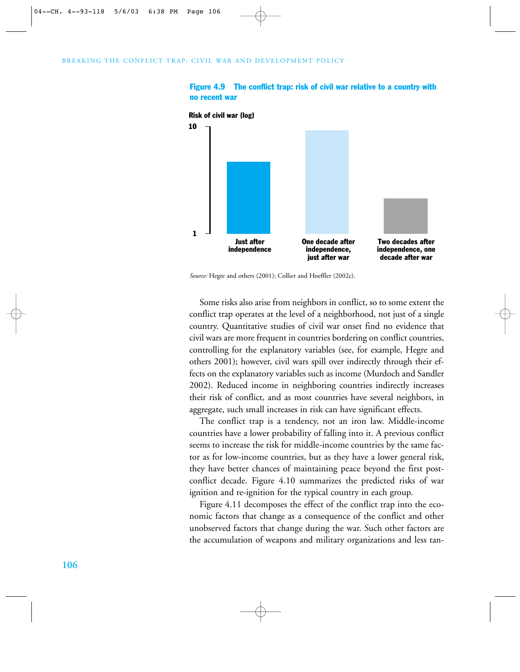

Figure 4.9 The conflict trap: risk of civil war relative to a country with no recent war

*Source:* Hegre and others (2001); Collier and Hoeffler (2002c).

Some risks also arise from neighbors in conflict, so to some extent the conflict trap operates at the level of a neighborhood, not just of a single country. Quantitative studies of civil war onset find no evidence that civil wars are more frequent in countries bordering on conflict countries, controlling for the explanatory variables (see, for example, Hegre and others 2001); however, civil wars spill over indirectly through their effects on the explanatory variables such as income (Murdoch and Sandler 2002). Reduced income in neighboring countries indirectly increases their risk of conflict, and as most countries have several neighbors, in aggregate, such small increases in risk can have significant effects.

The conflict trap is a tendency, not an iron law. Middle-income countries have a lower probability of falling into it. A previous conflict seems to increase the risk for middle-income countries by the same factor as for low-income countries, but as they have a lower general risk, they have better chances of maintaining peace beyond the first postconflict decade. Figure 4.10 summarizes the predicted risks of war ignition and re-ignition for the typical country in each group.

Figure 4.11 decomposes the effect of the conflict trap into the economic factors that change as a consequence of the conflict and other unobserved factors that change during the war. Such other factors are the accumulation of weapons and military organizations and less tan-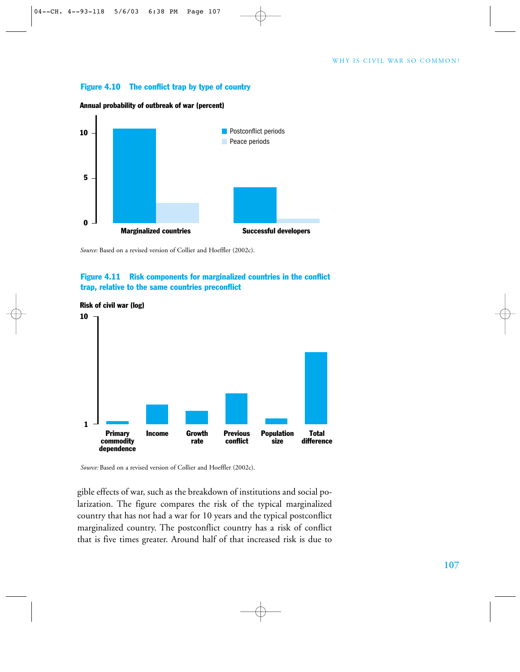



*Source:* Based on a revised version of Collier and Hoeffler (2002c).





*Source:* Based on a revised version of Collier and Hoeffler (2002c).

gible effects of war, such as the breakdown of institutions and social polarization. The figure compares the risk of the typical marginalized country that has not had a war for 10 years and the typical postconflict marginalized country. The postconflict country has a risk of conflict that is five times greater. Around half of that increased risk is due to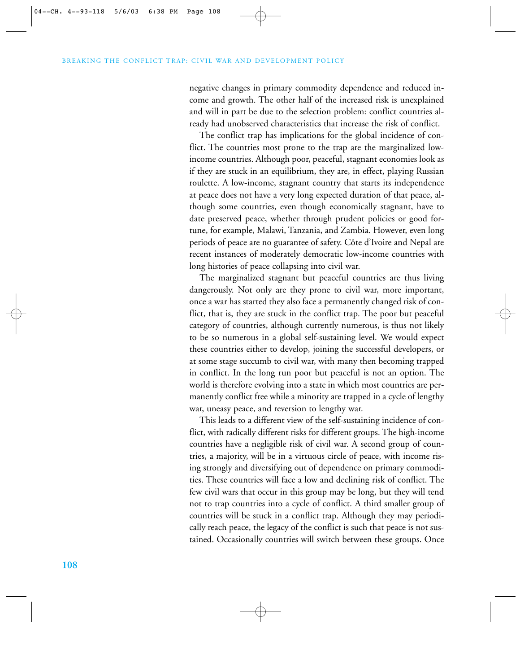negative changes in primary commodity dependence and reduced income and growth. The other half of the increased risk is unexplained and will in part be due to the selection problem: conflict countries already had unobserved characteristics that increase the risk of conflict.

The conflict trap has implications for the global incidence of conflict. The countries most prone to the trap are the marginalized lowincome countries. Although poor, peaceful, stagnant economies look as if they are stuck in an equilibrium, they are, in effect, playing Russian roulette. A low-income, stagnant country that starts its independence at peace does not have a very long expected duration of that peace, although some countries, even though economically stagnant, have to date preserved peace, whether through prudent policies or good fortune, for example, Malawi, Tanzania, and Zambia. However, even long periods of peace are no guarantee of safety. Côte d'Ivoire and Nepal are recent instances of moderately democratic low-income countries with long histories of peace collapsing into civil war.

The marginalized stagnant but peaceful countries are thus living dangerously. Not only are they prone to civil war, more important, once a war has started they also face a permanently changed risk of conflict, that is, they are stuck in the conflict trap. The poor but peaceful category of countries, although currently numerous, is thus not likely to be so numerous in a global self-sustaining level. We would expect these countries either to develop, joining the successful developers, or at some stage succumb to civil war, with many then becoming trapped in conflict. In the long run poor but peaceful is not an option. The world is therefore evolving into a state in which most countries are permanently conflict free while a minority are trapped in a cycle of lengthy war, uneasy peace, and reversion to lengthy war.

This leads to a different view of the self-sustaining incidence of conflict, with radically different risks for different groups. The high-income countries have a negligible risk of civil war. A second group of countries, a majority, will be in a virtuous circle of peace, with income rising strongly and diversifying out of dependence on primary commodities. These countries will face a low and declining risk of conflict. The few civil wars that occur in this group may be long, but they will tend not to trap countries into a cycle of conflict. A third smaller group of countries will be stuck in a conflict trap. Although they may periodically reach peace, the legacy of the conflict is such that peace is not sustained. Occasionally countries will switch between these groups. Once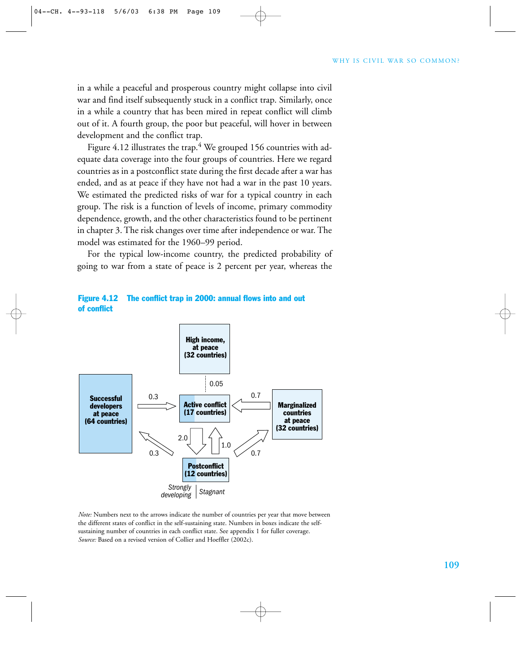in a while a peaceful and prosperous country might collapse into civil war and find itself subsequently stuck in a conflict trap. Similarly, once in a while a country that has been mired in repeat conflict will climb out of it. A fourth group, the poor but peaceful, will hover in between development and the conflict trap.

Figure 4.12 illustrates the trap.<sup>4</sup> We grouped 156 countries with adequate data coverage into the four groups of countries. Here we regard countries as in a postconflict state during the first decade after a war has ended, and as at peace if they have not had a war in the past 10 years. We estimated the predicted risks of war for a typical country in each group. The risk is a function of levels of income, primary commodity dependence, growth, and the other characteristics found to be pertinent in chapter 3. The risk changes over time after independence or war. The model was estimated for the 1960–99 period.

For the typical low-income country, the predicted probability of going to war from a state of peace is 2 percent per year, whereas the





*Note:* Numbers next to the arrows indicate the number of countries per year that move between the different states of conflict in the self-sustaining state. Numbers in boxes indicate the selfsustaining number of countries in each conflict state. See appendix 1 for fuller coverage. *Source:* Based on a revised version of Collier and Hoeffler (2002c).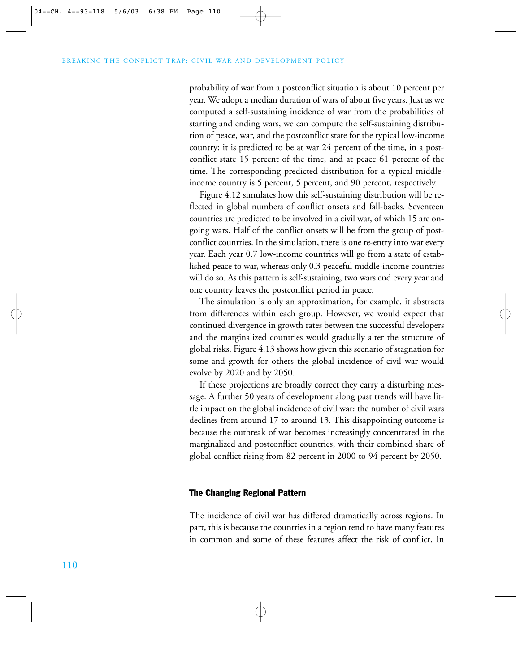probability of war from a postconflict situation is about 10 percent per year. We adopt a median duration of wars of about five years. Just as we computed a self-sustaining incidence of war from the probabilities of starting and ending wars, we can compute the self-sustaining distribution of peace, war, and the postconflict state for the typical low-income country: it is predicted to be at war 24 percent of the time, in a postconflict state 15 percent of the time, and at peace 61 percent of the time. The corresponding predicted distribution for a typical middleincome country is 5 percent, 5 percent, and 90 percent, respectively.

Figure 4.12 simulates how this self-sustaining distribution will be reflected in global numbers of conflict onsets and fall-backs. Seventeen countries are predicted to be involved in a civil war, of which 15 are ongoing wars. Half of the conflict onsets will be from the group of postconflict countries. In the simulation, there is one re-entry into war every year. Each year 0.7 low-income countries will go from a state of established peace to war, whereas only 0.3 peaceful middle-income countries will do so. As this pattern is self-sustaining, two wars end every year and one country leaves the postconflict period in peace.

The simulation is only an approximation, for example, it abstracts from differences within each group. However, we would expect that continued divergence in growth rates between the successful developers and the marginalized countries would gradually alter the structure of global risks. Figure 4.13 shows how given this scenario of stagnation for some and growth for others the global incidence of civil war would evolve by 2020 and by 2050.

If these projections are broadly correct they carry a disturbing message. A further 50 years of development along past trends will have little impact on the global incidence of civil war: the number of civil wars declines from around 17 to around 13. This disappointing outcome is because the outbreak of war becomes increasingly concentrated in the marginalized and postconflict countries, with their combined share of global conflict rising from 82 percent in 2000 to 94 percent by 2050.

#### The Changing Regional Pattern

The incidence of civil war has differed dramatically across regions. In part, this is because the countries in a region tend to have many features in common and some of these features affect the risk of conflict. In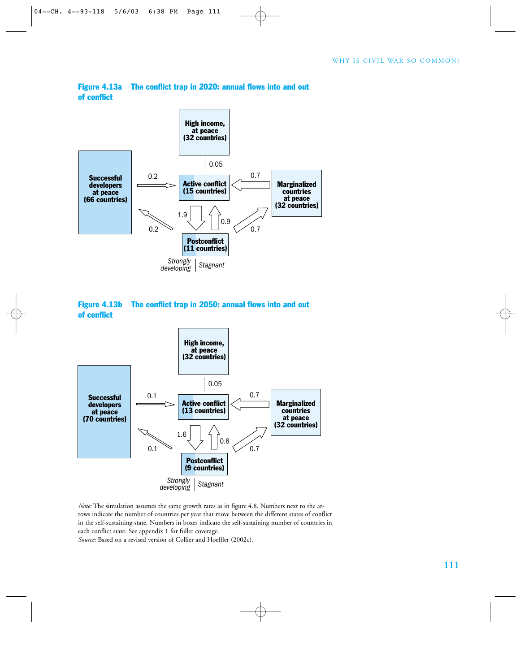

Figure 4.13a The conflict trap in 2020: annual flows into and out





*Note:* The simulation assumes the same growth rates as in figure 4.8. Numbers next to the arrows indicate the number of countries per year that move between the different states of conflict in the self-sustaining state. Numbers in boxes indicate the self-sustaining number of countries in each conflict state. See appendix 1 for fuller coverage.

*Source:* Based on a revised version of Collier and Hoeffler (2002c).

**111**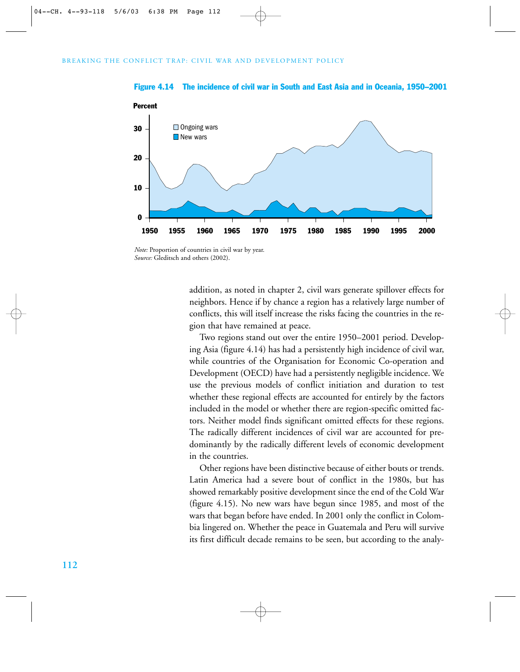

Figure 4.14 The incidence of civil war in South and East Asia and in Oceania, 1950–2001

addition, as noted in chapter 2, civil wars generate spillover effects for neighbors. Hence if by chance a region has a relatively large number of conflicts, this will itself increase the risks facing the countries in the region that have remained at peace.

Two regions stand out over the entire 1950–2001 period. Developing Asia (figure 4.14) has had a persistently high incidence of civil war, while countries of the Organisation for Economic Co-operation and Development (OECD) have had a persistently negligible incidence. We use the previous models of conflict initiation and duration to test whether these regional effects are accounted for entirely by the factors included in the model or whether there are region-specific omitted factors. Neither model finds significant omitted effects for these regions. The radically different incidences of civil war are accounted for predominantly by the radically different levels of economic development in the countries.

Other regions have been distinctive because of either bouts or trends. Latin America had a severe bout of conflict in the 1980s, but has showed remarkably positive development since the end of the Cold War (figure 4.15). No new wars have begun since 1985, and most of the wars that began before have ended. In 2001 only the conflict in Colombia lingered on. Whether the peace in Guatemala and Peru will survive its first difficult decade remains to be seen, but according to the analy-

*Note:* Proportion of countries in civil war by year. *Source:* Gleditsch and others (2002).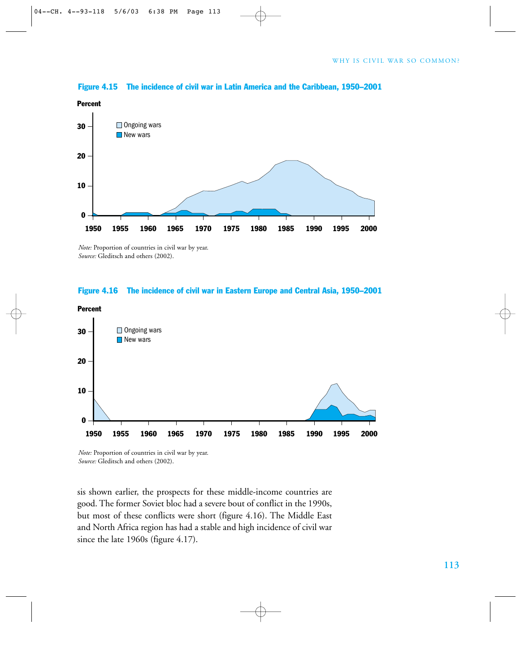

Figure 4.15 The incidence of civil war in Latin America and the Caribbean, 1950–2001

*Note:* Proportion of countries in civil war by year. *Source:* Gleditsch and others (2002).





*Note:* Proportion of countries in civil war by year. *Source:* Gleditsch and others (2002).

sis shown earlier, the prospects for these middle-income countries are good. The former Soviet bloc had a severe bout of conflict in the 1990s, but most of these conflicts were short (figure 4.16). The Middle East and North Africa region has had a stable and high incidence of civil war since the late 1960s (figure 4.17).

**113**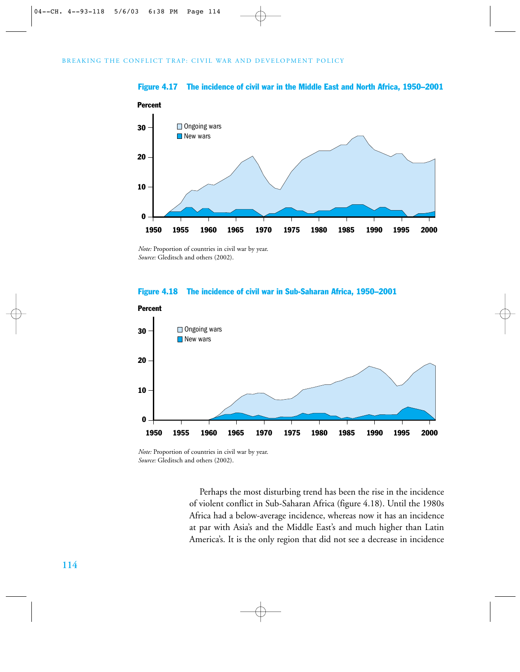Percent Ongoing wars **New wars** 0 10 20 30 1950 1955 1960 1965 1970 1975 1980 1985 1990 1995 2000



#### Figure 4.18 The incidence of civil war in Sub-Saharan Africa, 1950–2001



*Note:* Proportion of countries in civil war by year. *Source:* Gleditsch and others (2002).

> Perhaps the most disturbing trend has been the rise in the incidence of violent conflict in Sub-Saharan Africa (figure 4.18). Until the 1980s Africa had a below-average incidence, whereas now it has an incidence at par with Asia's and the Middle East's and much higher than Latin America's. It is the only region that did not see a decrease in incidence

*Note:* Proportion of countries in civil war by year. *Source:* Gleditsch and others (2002).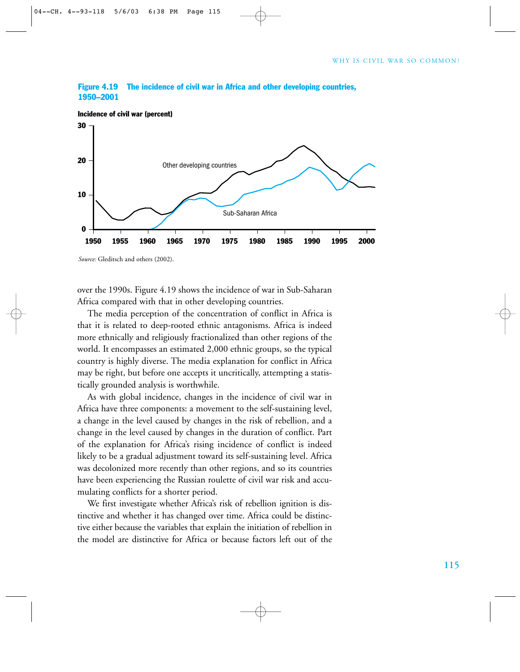

Figure 4.19 The incidence of civil war in Africa and other developing countries, 1950–2001

*Source:* Gleditsch and others (2002).

over the 1990s. Figure 4.19 shows the incidence of war in Sub-Saharan Africa compared with that in other developing countries.

The media perception of the concentration of conflict in Africa is that it is related to deep-rooted ethnic antagonisms. Africa is indeed more ethnically and religiously fractionalized than other regions of the world. It encompasses an estimated 2,000 ethnic groups, so the typical country is highly diverse. The media explanation for conflict in Africa may be right, but before one accepts it uncritically, attempting a statistically grounded analysis is worthwhile.

As with global incidence, changes in the incidence of civil war in Africa have three components: a movement to the self-sustaining level, a change in the level caused by changes in the risk of rebellion, and a change in the level caused by changes in the duration of conflict. Part of the explanation for Africa's rising incidence of conflict is indeed likely to be a gradual adjustment toward its self-sustaining level. Africa was decolonized more recently than other regions, and so its countries have been experiencing the Russian roulette of civil war risk and accumulating conflicts for a shorter period.

We first investigate whether Africa's risk of rebellion ignition is distinctive and whether it has changed over time. Africa could be distinctive either because the variables that explain the initiation of rebellion in the model are distinctive for Africa or because factors left out of the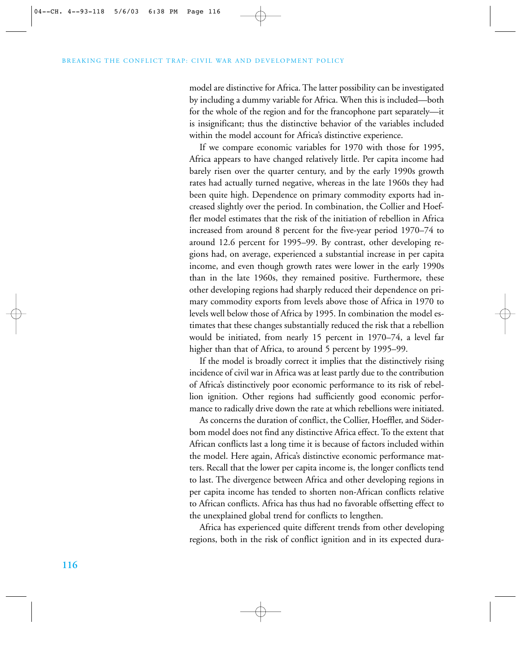model are distinctive for Africa. The latter possibility can be investigated by including a dummy variable for Africa. When this is included—both for the whole of the region and for the francophone part separately—it is insignificant; thus the distinctive behavior of the variables included within the model account for Africa's distinctive experience.

If we compare economic variables for 1970 with those for 1995, Africa appears to have changed relatively little. Per capita income had barely risen over the quarter century, and by the early 1990s growth rates had actually turned negative, whereas in the late 1960s they had been quite high. Dependence on primary commodity exports had increased slightly over the period. In combination, the Collier and Hoeffler model estimates that the risk of the initiation of rebellion in Africa increased from around 8 percent for the five-year period 1970–74 to around 12.6 percent for 1995–99. By contrast, other developing regions had, on average, experienced a substantial increase in per capita income, and even though growth rates were lower in the early 1990s than in the late 1960s, they remained positive. Furthermore, these other developing regions had sharply reduced their dependence on primary commodity exports from levels above those of Africa in 1970 to levels well below those of Africa by 1995. In combination the model estimates that these changes substantially reduced the risk that a rebellion would be initiated, from nearly 15 percent in 1970–74, a level far higher than that of Africa, to around 5 percent by 1995–99.

If the model is broadly correct it implies that the distinctively rising incidence of civil war in Africa was at least partly due to the contribution of Africa's distinctively poor economic performance to its risk of rebellion ignition. Other regions had sufficiently good economic performance to radically drive down the rate at which rebellions were initiated.

As concerns the duration of conflict, the Collier, Hoeffler, and Söderbom model does not find any distinctive Africa effect. To the extent that African conflicts last a long time it is because of factors included within the model. Here again, Africa's distinctive economic performance matters. Recall that the lower per capita income is, the longer conflicts tend to last. The divergence between Africa and other developing regions in per capita income has tended to shorten non-African conflicts relative to African conflicts. Africa has thus had no favorable offsetting effect to the unexplained global trend for conflicts to lengthen.

Africa has experienced quite different trends from other developing regions, both in the risk of conflict ignition and in its expected dura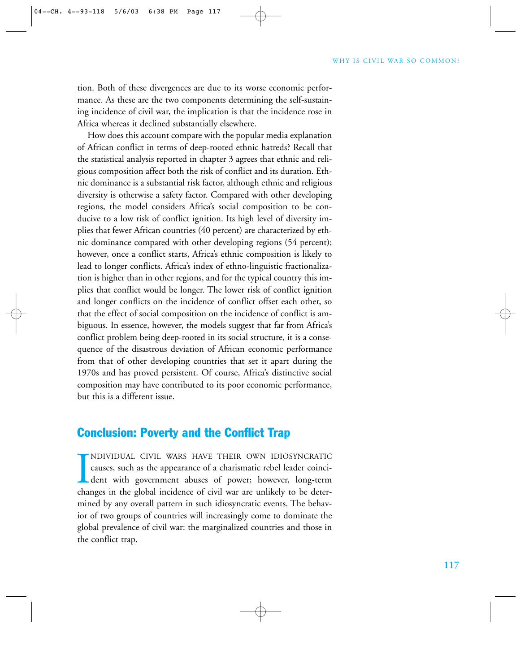tion. Both of these divergences are due to its worse economic performance. As these are the two components determining the self-sustaining incidence of civil war, the implication is that the incidence rose in Africa whereas it declined substantially elsewhere.

How does this account compare with the popular media explanation of African conflict in terms of deep-rooted ethnic hatreds? Recall that the statistical analysis reported in chapter 3 agrees that ethnic and religious composition affect both the risk of conflict and its duration. Ethnic dominance is a substantial risk factor, although ethnic and religious diversity is otherwise a safety factor. Compared with other developing regions, the model considers Africa's social composition to be conducive to a low risk of conflict ignition. Its high level of diversity implies that fewer African countries (40 percent) are characterized by ethnic dominance compared with other developing regions (54 percent); however, once a conflict starts, Africa's ethnic composition is likely to lead to longer conflicts. Africa's index of ethno-linguistic fractionalization is higher than in other regions, and for the typical country this implies that conflict would be longer. The lower risk of conflict ignition and longer conflicts on the incidence of conflict offset each other, so that the effect of social composition on the incidence of conflict is ambiguous. In essence, however, the models suggest that far from Africa's conflict problem being deep-rooted in its social structure, it is a consequence of the disastrous deviation of African economic performance from that of other developing countries that set it apart during the 1970s and has proved persistent. Of course, Africa's distinctive social composition may have contributed to its poor economic performance, but this is a different issue.

# Conclusion: Poverty and the Conflict Trap

IMPIVIDUAL CIVIL WARS HAVE THEIR OWN IDIOSYNCRATIC causes, such as the appearance of a charismatic rebel leader coincident with government abuses of power; however, long-term changes in the global incidence of civil war ar NDIVIDUAL CIVIL WARS HAVE THEIR OWN IDIOSYNCRATIC causes, such as the appearance of a charismatic rebel leader coincident with government abuses of power; however, long-term mined by any overall pattern in such idiosyncratic events. The behavior of two groups of countries will increasingly come to dominate the global prevalence of civil war: the marginalized countries and those in the conflict trap.